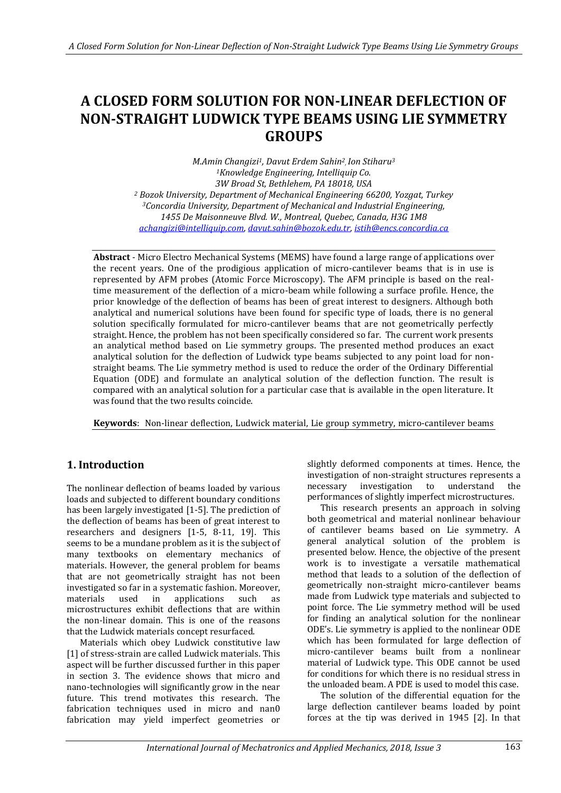# **A CLOSED FORM SOLUTION FOR NON-LINEAR DEFLECTION OF NON-STRAIGHT LUDWICK TYPE BEAMS USING LIE SYMMETRY GROUPS**

*M.Amin Changizi1, Davut Erdem Sahin<sup>2</sup> , Ion Stiharu<sup>3</sup> <sup>1</sup>Knowledge Engineering, Intelliquip Co. 3W Broad St, Bethlehem, PA 18018, USA <sup>2</sup> Bozok University, Department of Mechanical Engineering 66200, Yozgat, Turkey <sup>3</sup>Concordia University, Department of Mechanical and Industrial Engineering, 1455 De Maisonneuve Blvd. W., Montreal, Quebec, Canada, H3G 1M8 [achangizi@intelliquip.com,](mailto:achangizi@intelliquip.com) [davut.sahin@bozok.edu.tr,](mailto:davut.sahin@bozok.edu.tr) [istih@encs.concordia.ca](mailto:istih@encs.concordia.ca)*

**Abstract** - Micro Electro Mechanical Systems (MEMS) have found a large range of applications over the recent years. One of the prodigious application of micro-cantilever beams that is in use is represented by AFM probes (Atomic Force Microscopy). The AFM principle is based on the realtime measurement of the deflection of a micro-beam while following a surface profile. Hence, the prior knowledge of the deflection of beams has been of great interest to designers. Although both analytical and numerical solutions have been found for specific type of loads, there is no general solution specifically formulated for micro-cantilever beams that are not geometrically perfectly straight. Hence, the problem has not been specifically considered so far. The current work presents an analytical method based on Lie symmetry groups. The presented method produces an exact analytical solution for the deflection of Ludwick type beams subjected to any point load for nonstraight beams. The Lie symmetry method is used to reduce the order of the Ordinary Differential Equation (ODE) and formulate an analytical solution of the deflection function. The result is compared with an analytical solution for a particular case that is available in the open literature. It was found that the two results coincide.

**Keywords**: Non-linear deflection, Ludwick material, Lie group symmetry, micro-cantilever beams

## **1. Introduction**

The nonlinear deflection of beams loaded by various loads and subjected to different boundary conditions has been largely investigated [1-5]. The prediction of the deflection of beams has been of great interest to researchers and designers [1-5, 8-11, 19]. This seems to be a mundane problem as it is the subject of many textbooks on elementary mechanics of materials. However, the general problem for beams that are not geometrically straight has not been investigated so far in a systematic fashion. Moreover, materials used in applications such as microstructures exhibit deflections that are within the non-linear domain. This is one of the reasons that the Ludwick materials concept resurfaced.

Materials which obey Ludwick constitutive law [1] of stress-strain are called Ludwick materials. This aspect will be further discussed further in this paper in section 3. The evidence shows that micro and nano-technologies will significantly grow in the near future. This trend motivates this research. The fabrication techniques used in micro and nan0 fabrication may yield imperfect geometries or

slightly deformed components at times. Hence, the investigation of non-straight structures represents a necessary investigation to understand the performances of slightly imperfect microstructures.

This research presents an approach in solving both geometrical and material nonlinear behaviour of cantilever beams based on Lie symmetry. A general analytical solution of the problem is presented below. Hence, the objective of the present work is to investigate a versatile mathematical method that leads to a solution of the deflection of geometrically non-straight micro-cantilever beams made from Ludwick type materials and subjected to point force. The Lie symmetry method will be used for finding an analytical solution for the nonlinear ODE's. Lie symmetry is applied to the nonlinear ODE which has been formulated for large deflection of micro-cantilever beams built from a nonlinear material of Ludwick type. This ODE cannot be used for conditions for which there is no residual stress in the unloaded beam. A PDE is used to model this case.

The solution of the differential equation for the large deflection cantilever beams loaded by point forces at the tip was derived in 1945 [2]. In that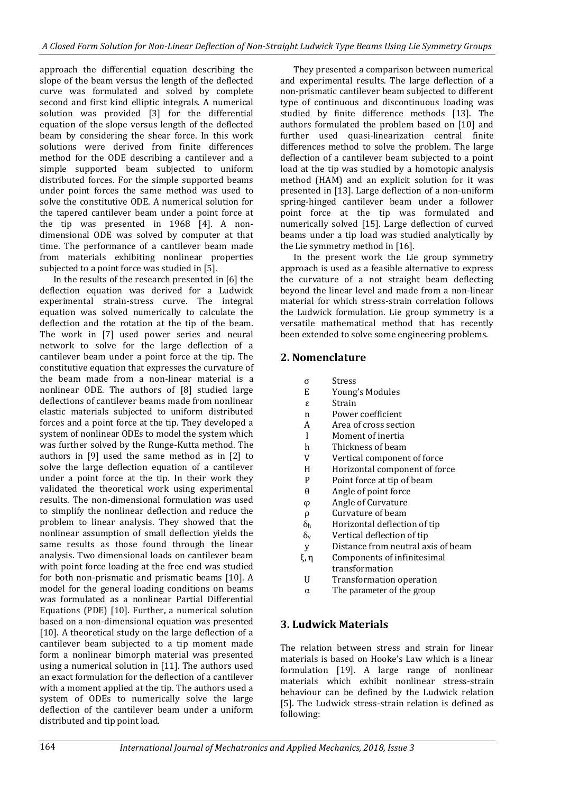approach the differential equation describing the slope of the beam versus the length of the deflected curve was formulated and solved by complete second and first kind elliptic integrals. A numerical solution was provided [3] for the differential equation of the slope versus length of the deflected beam by considering the shear force. In this work solutions were derived from finite differences method for the ODE describing a cantilever and a simple supported beam subjected to uniform distributed forces. For the simple supported beams under point forces the same method was used to solve the constitutive ODE. A numerical solution for the tapered cantilever beam under a point force at the tip was presented in 1968 [4]. A nondimensional ODE was solved by computer at that time. The performance of a cantilever beam made from materials exhibiting nonlinear properties subjected to a point force was studied in [5].

In the results of the research presented in [6] the deflection equation was derived for a Ludwick experimental strain-stress curve. The integral equation was solved numerically to calculate the deflection and the rotation at the tip of the beam. The work in [7] used power series and neural network to solve for the large deflection of a cantilever beam under a point force at the tip. The constitutive equation that expresses the curvature of the beam made from a non-linear material is a nonlinear ODE. The authors of [8] studied large deflections of cantilever beams made from nonlinear elastic materials subjected to uniform distributed forces and a point force at the tip. They developed a system of nonlinear ODEs to model the system which was further solved by the Runge-Kutta method. The authors in [9] used the same method as in [2] to solve the large deflection equation of a cantilever under a point force at the tip. In their work they validated the theoretical work using experimental results. The non-dimensional formulation was used to simplify the nonlinear deflection and reduce the problem to linear analysis. They showed that the nonlinear assumption of small deflection yields the same results as those found through the linear analysis. Two dimensional loads on cantilever beam with point force loading at the free end was studied for both non-prismatic and prismatic beams [10]. A model for the general loading conditions on beams was formulated as a nonlinear Partial Differential Equations (PDE) [10]. Further, a numerical solution based on a non-dimensional equation was presented [10]. A theoretical study on the large deflection of a cantilever beam subjected to a tip moment made form a nonlinear bimorph material was presented using a numerical solution in [11]. The authors used an exact formulation for the deflection of a cantilever with a moment applied at the tip. The authors used a system of ODEs to numerically solve the large deflection of the cantilever beam under a uniform distributed and tip point load.

They presented a comparison between numerical and experimental results. The large deflection of a non-prismatic cantilever beam subjected to different type of continuous and discontinuous loading was studied by finite difference methods [13]. The authors formulated the problem based on [10] and further used quasi-linearization central finite differences method to solve the problem. The large deflection of a cantilever beam subjected to a point load at the tip was studied by a homotopic analysis method (HAM) and an explicit solution for it was presented in [13]. Large deflection of a non-uniform spring-hinged cantilever beam under a follower point force at the tip was formulated and numerically solved [15]. Large deflection of curved beams under a tip load was studied analytically by the Lie symmetry method in [16].

In the present work the Lie group symmetry approach is used as a feasible alternative to express the curvature of a not straight beam deflecting beyond the linear level and made from a non-linear material for which stress-strain correlation follows the Ludwick formulation. Lie group symmetry is a versatile mathematical method that has recently been extended to solve some engineering problems.

## **2. Nomenclature**

- σ Stress
- E Young's Modules
- ε Strain
- n Power coefficient
- A Area of cross section
- I Moment of inertia
- h Thickness of beam
- V Vertical component of force
- H Horizontal component of force
- P Point force at tip of beam
- θ Angle of point force
- φ Angle of Curvature
- ρ Curvature of beam
- δ<sup>h</sup> Horizontal deflection of tip
- $\delta_{v}$  Vertical deflection of tip
- y Distance from neutral axis of beam
- ξ, η Components of infinitesimal transformation
- U Transformation operation
- α The parameter of the group

## **3. Ludwick Materials**

The relation between stress and strain for linear materials is based on Hooke's Law which is a linear formulation [19]. A large range of nonlinear materials which exhibit nonlinear stress-strain behaviour can be defined by the Ludwick relation [5]. The Ludwick stress-strain relation is defined as following: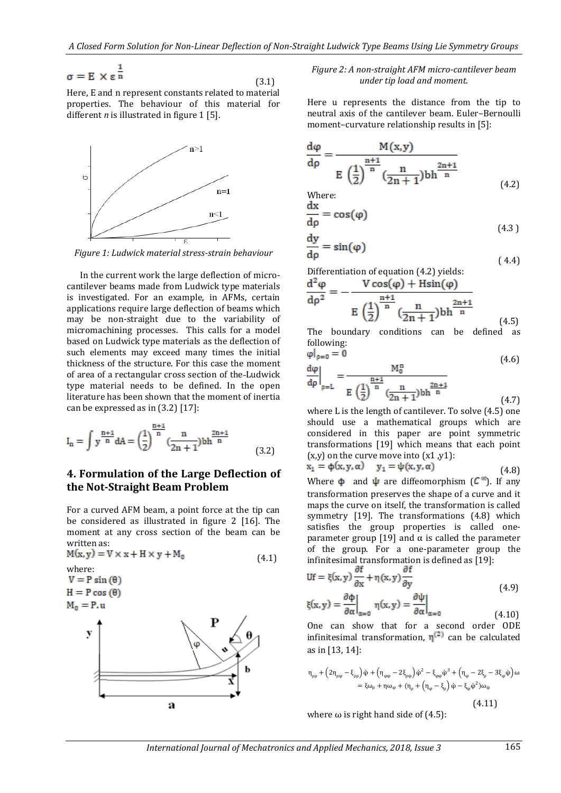$$
\sigma = E \times \varepsilon^{\frac{1}{n}}
$$

(3.1)

Here, E and n represent constants related to material properties. The behaviour of this material for different *n* is illustrated in figure 1 [5].



*Figure 1: Ludwick material stress-strain behaviour*

In the current work the large deflection of microcantilever beams made from Ludwick type materials is investigated. For an example, in AFMs, certain applications require large deflection of beams which may be non-straight due to the variability of micromachining processes. This calls for a model based on Ludwick type materials as the deflection of such elements may exceed many times the initial thickness of the structure. For this case the moment of area of a rectangular cross section of the Ludwick type material needs to be defined. In the open literature has been shown that the moment of inertia can be expressed as in (3.2) [17]:

$$
I_n = \int y^{\frac{n+1}{n}} dA = \left(\frac{1}{2}\right)^{\frac{n+1}{n}} \left(\frac{n}{2n+1}\right) bh^{\frac{2n+1}{n}}
$$
(3.2)

### **4. Formulation of the Large Deflection of the Not-Straight Beam Problem**

For a curved AFM beam, a point force at the tip can be considered as illustrated in figure 2 [16]. The moment at any cross section of the beam can be written as:

$$
M(x, y) = V \times x + H \times y + M_0
$$
\nwhere:  
\n
$$
V = P \sin(\theta)
$$
\n
$$
H = P \cos(\theta)
$$
\n
$$
M_0 = P.u
$$
\n
$$
y
$$
\n
$$
y
$$
\n
$$
y
$$
\n
$$
y
$$
\n
$$
y
$$
\n
$$
y
$$
\n
$$
y
$$
\n
$$
y
$$
\n
$$
y
$$
\n
$$
y
$$
\n
$$
y
$$
\n
$$
y
$$
\n
$$
y
$$
\n
$$
y
$$
\n
$$
y
$$
\n
$$
y
$$
\n
$$
y
$$
\n
$$
y
$$
\n
$$
y
$$
\n
$$
y
$$
\n
$$
y
$$
\n
$$
y
$$
\n
$$
y
$$
\n
$$
y
$$
\n
$$
y
$$
\n
$$
y
$$

#### *Figure 2: A non-straight AFM micro-cantilever beam under tip load and moment.*

Here u represents the distance from the tip to neutral axis of the cantilever beam. Euler–Bernoulli moment–curvature relationship results in [5]:

$$
\frac{d\varphi}{d\rho} = \frac{M(x,y)}{E\left(\frac{1}{2}\right)^{\frac{n+1}{n}} \left(\frac{n}{2n+1}\right)bh^{\frac{2n+1}{n}}}
$$
\n(4.2)

Where: d

$$
\frac{dx}{dp} = \cos(\varphi) \tag{4.3}
$$

$$
\frac{dy}{dp} = \sin(\varphi) \tag{4.4}
$$

Differentiation of equation (4.2) yields:

$$
\frac{d^2 \varphi}{d\rho^2} = -\frac{V \cos(\varphi) + H \sin(\varphi)}{E \left(\frac{1}{2}\right)^{\frac{n+1}{n}} \left(\frac{n}{2n+1}\right) bh^{\frac{2n+1}{n}}}
$$
(4.5)

The boundary conditions can be defined as following:

$$
\frac{d\varphi}{d\rho}\Big|_{\rho=L} = \frac{M_0^n}{E\left(\frac{1}{2}\right)^{\frac{n+1}{n}} \frac{n}{(2n+1)}bh^{\frac{2n+1}{n}}}
$$
(4.6)

where L is the length of cantilever. To solve (4.5) one should use a mathematical groups which are considered in this paper are point symmetric transformations [19] which means that each point  $(x,y)$  on the curve move into  $(x1, y1)$ :

$$
\mathbf{x}_1 = \Phi(\mathbf{x}, \mathbf{y}, \alpha) \quad \mathbf{y}_1 = \psi(\mathbf{x}, \mathbf{y}, \alpha) \tag{4.8}
$$

Where  $\phi$  and  $\psi$  are diffeomorphism ( $\mathcal{C}^{\infty}$ ). If any transformation preserves the shape of a curve and it maps the curve on itself, the transformation is called symmetry [19]. The transformations (4.8) which satisfies the group properties is called oneparameter group [19] and  $\alpha$  is called the parameter of the group. For a one-parameter group the infinitesimal transformation is defined as [19]:

$$
Uf = \xi(x, y) \frac{\partial f}{\partial x} + \eta(x, y) \frac{\partial f}{\partial y}
$$
  
\n
$$
\frac{\partial \phi}{\partial x} \qquad \frac{\partial \psi}{\partial y} \qquad (4.9)
$$

$$
\xi(\mathbf{x}, \mathbf{y}) = \frac{\partial \Phi}{\partial \alpha}\Big|_{\alpha=0} \eta(\mathbf{x}, \mathbf{y}) = \frac{\partial \Psi}{\partial \alpha}\Big|_{\alpha=0} \tag{4.10}
$$

One can show that for a second order ODE infinitesimal transformation,  $\eta^{(2)}$  can be calculated as in [13, 14]:

$$
\eta_{\rho\rho} + (2\eta_{\rho\phi} - \xi_{\rho\rho}) \dot{\phi} + (\eta_{\phi\phi} - 2\xi_{\rho\phi}) \dot{\phi}^2 - \xi_{\phi\phi} \dot{\phi}^3 + (\eta_{\phi} - 2\xi_{\rho} - 3\xi_{\phi} \dot{\phi}) \omega
$$
  

$$
= \xi \omega_{\rho} + \eta \omega_{\phi} + (\eta_{\rho} + (\eta_{\phi} - \xi_{\rho}) \dot{\phi} - \xi_{\phi} \dot{\phi}^2) \omega_{\phi}
$$
  
(4.11)

where  $\omega$  is right hand side of (4.5):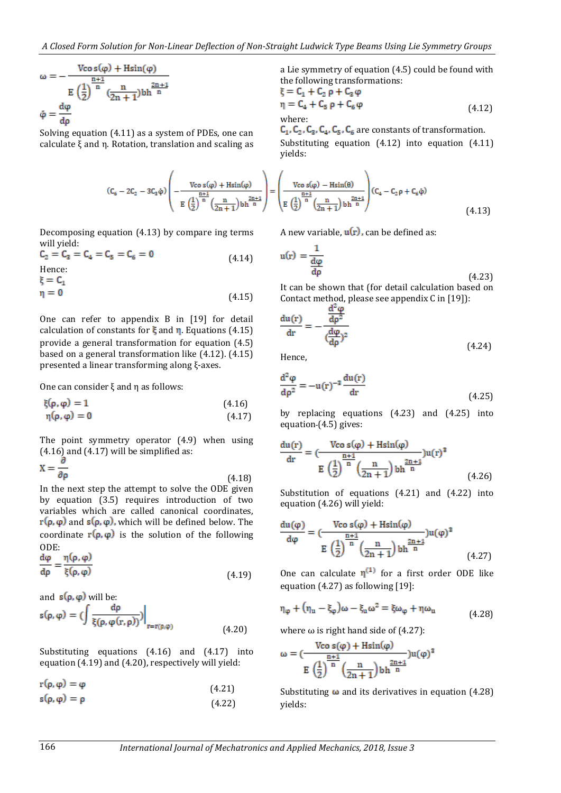$$
\omega = -\frac{V\text{co }s(\phi) + H\text{sin}(\phi)}{E\left(\frac{1}{2}\right)^{\frac{n+1}{n}}(\frac{n}{2n+1})bh^{\frac{2n+1}{n}}}
$$

$$
\phi = \frac{d\phi}{d\rho}
$$

Solving equation (4.11) as a system of PDEs, one can calculate ξ and η. Rotation, translation and scaling as

$$
(C_6-2C_2-3C_8\dot{\phi})\left(-\frac{Vco~s(\phi)+Hsin(\phi)}{E~\left(\frac{1}{2}\right)^{\frac{n+1}{n}}\left(\frac{n}{2n+1}\right)bh^{\frac{2n+1}{n}}}\right)=
$$

Decomposing equation (4.13) by compare ing terms will yield:<br> $C_2 = C_3 = C_4 = C_5 = C_6 = 0$ 

 (4.14) Hence:

 $\xi = C_1$ 

 $\eta = 0$  (4.15)

One can refer to appendix B in [19] for detail calculation of constants for  $\xi$  and  $\eta$ . Equations (4.15) provide a general transformation for equation (4.5) based on a general transformation like (4.12). (4.15) presented a linear transforming along ξ-axes.

One can consider ξ and η as follows:

$$
\xi(\rho, \varphi) = 1 \tag{4.16}
$$
  
\n
$$
\eta(\rho, \varphi) = 0 \tag{4.17}
$$

The point symmetry operator (4.9) when using  $(4.16)$  and  $(4.17)$  will be simplified as:

$$
X = \frac{1}{\partial \rho} \tag{4.18}
$$

In the next step the attempt to solve the ODE given by equation (3.5) requires introduction of two variables which are called canonical coordinates,  $r(\rho, \varphi)$  and  $s(\rho, \varphi)$ , which will be defined below. The coordinate  $\mathbf{r}(\rho, \varphi)$  is the solution of the following ODE:

$$
\frac{d\varphi}{d\rho} = \frac{\eta(\rho, \varphi)}{\xi(\rho, \varphi)}
$$
(4.19)

and  $s(\rho, \varphi)$  will be:

$$
s(\rho,\phi) = \left(\int \frac{d\rho}{\xi(\rho,\phi(r,\rho))}\right)\Big|_{r=r(\rho,\phi)}
$$
(4.20)

Substituting equations (4.16) and (4.17) into equation (4.19) and (4.20), respectively will yield:

 $r(\rho, \varphi) = \varphi$  (4.21)

$$
s(\rho, \varphi) = \rho \tag{4.22}
$$

a Lie symmetry of equation (4.5) could be found with the following transformations:

$$
\xi = C_1 + C_2 \rho + C_3 \varphi
$$
  
\n
$$
\eta = C_4 + C_5 \rho + C_6 \varphi
$$
  
\nwhere: (4.12)

 $C_1$ ,  $C_2$ ,  $C_3$ ,  $C_4$ ,  $C_5$ ,  $C_6$  are constants of transformation.

Substituting equation (4.12) into equation (4.11) yields:

$$
= \left(\frac{V\cos(\varphi) - H\sin(\theta)}{E\left(\frac{1}{2}\right)^{\frac{n+1}{n}} \left(\frac{n}{2n+1}\right) b h^{\frac{2n+1}{n}}}\right) (C_4 - C_2 \rho + C_6 \dot{\varphi})
$$
\n(4.13)

A new variable,  $u(r)$ , can be defined as:

$$
u(r) = \frac{1}{\frac{d\varphi}{d\rho}}
$$
 (4.23)

It can be shown that (for detail calculation based on Contact method, please see appendix C in [19]):

$$
\frac{du(r)}{dr} = -\frac{\frac{d^2\phi}{dp^2}}{\left(\frac{d\phi}{dp}\right)^2}
$$
(4.24)

Hence,

$$
\frac{\mathrm{d}^2 \varphi}{\mathrm{d}\rho^2} = -\mathbf{u}(\mathbf{r})^{-3} \frac{\mathrm{du}(\mathbf{r})}{\mathrm{d}\mathbf{r}}\tag{4.25}
$$

by replacing equations (4.23) and (4.25) into equation (4.5) gives:

$$
\frac{du(r)}{dr} = \frac{V\cos(\varphi) + H\sin(\varphi)}{E\left(\frac{1}{2}\right)^{\frac{n+1}{n}} \left(\frac{n}{2n+1}\right)bh^{\frac{2n+1}{n}}}
$$
 (4.26)

Substitution of equations (4.21) and (4.22) into equation (4.26) will yield:

$$
\frac{du(\varphi)}{d\varphi} = \frac{V\cos(\varphi) + H\sin(\varphi)}{E\left(\frac{1}{2}\right)^{\frac{n+1}{n}}\left(\frac{n}{2n+1}\right)bh^{\frac{2n+1}{n}}}
$$
\n
$$
(4.27)
$$

One can calculate  $\eta^{(1)}$  for a first order ODE like equation (4.27) as following [19]:

$$
\eta_{\varphi} + (\eta_{u} - \xi_{\varphi})\omega - \xi_{u}\omega^{2} = \xi\omega_{\varphi} + \eta\omega_{u}
$$
\n(4.28)

where  $\omega$  is right hand side of (4.27):

$$
\omega = (\frac{\text{Vco }s(\phi) + \text{Hsin}(\phi)}{E\ \left(\frac{1}{2}\right)^{\frac{n+1}{n}}\left(\frac{n}{2n+1}\right) b h^{\frac{2n+1}{n}}}) u(\phi)^3
$$

Substituting  $\omega$  and its derivatives in equation (4.28) yields: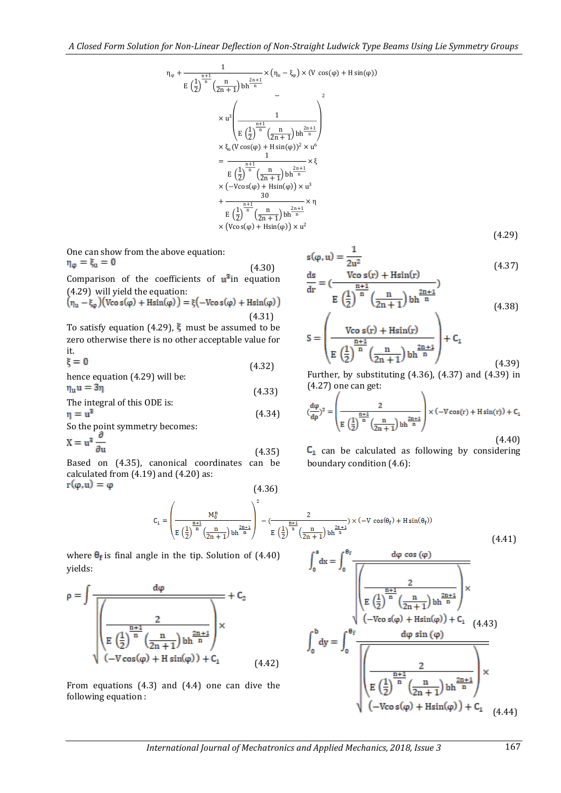$$
\eta_{\varphi} + \frac{1}{E\left(\frac{1}{2}\right)^{\frac{n+1}{n}} \left(\frac{n}{2n+1}\right) bh^{\frac{2n+1}{n}}} \times (\eta_{u} - \xi_{\varphi}) \times (V \cos(\varphi) + H \sin(\varphi))
$$
  

$$
\times u^{3} \left( \frac{1}{E\left(\frac{1}{2}\right)^{\frac{n+1}{n}} \left(\frac{n}{2n+1}\right) bh^{\frac{2n+1}{n}}} \right)
$$
  

$$
\times \xi_{u} (V \cos(\varphi) + H \sin(\varphi))^{2} \times u^{6}
$$
  

$$
= \frac{1}{E\left(\frac{1}{2}\right)^{\frac{n+1}{n}} \left(\frac{n}{2n+1}\right) bh^{\frac{2n+1}{n}}} \times \xi
$$
  

$$
\times \left( -V \cos(\varphi) + H \sin(\varphi) \right) \times u^{3}
$$
  

$$
+ \frac{30}{E\left(\frac{1}{2}\right)^{\frac{n+1}{n}} \left(\frac{n}{2n+1}\right) bh^{\frac{2n+1}{n}}} \times \eta
$$
  

$$
\times \left( V \cos(\varphi) + H \sin(\varphi) \right) \times u^{2}
$$

One can show from the above equation:<br> $\eta_{\omega} = \xi_{\mu} = 0$ 

(4.30)  
Comparison of the coefficients of 
$$
\mathbf{u}^2
$$
 in equation  
(4.29) will yield the equation:

$$
(\eta_u - \xi_{\varphi})(\text{Vco s}(\varphi) + \text{Hsin}(\varphi)) = \xi(-\text{Vco s}(\varphi) + \text{Hsin}(\varphi))
$$
\n(4.31)

To satisfy equation (4.29),  $\xi$  must be assumed to be zero otherwise there is no other acceptable value for it.<br> $\xi = 0$ 

$$
\xi = 0
$$
\n(4.32)

\nhence equation (4.29) will be:

$$
\eta_u u = 3\eta
$$
 (4.33)  
The integral of this ODE is:  

$$
\eta = u^3
$$
 (4.34)

So the point symmetry becomes:  
\n
$$
\mathbf{X} = \mathbf{u}^2 \frac{\partial}{\partial \mathbf{u}}
$$
\n(4.35)

Based on (4.35), canonical coordinates can be calculated from (4.19) and (4.20) as:  $r(\varphi, u) = \varphi$  (4.36)

$$
s(\varphi, u) = \frac{1}{2u^2} \tag{4.37}
$$

(4.29)

$$
\frac{ds}{dr} = \left(\frac{V\cos(s(r) + H\sin(r))}{E\left(\frac{1}{2}\right)^{\frac{n+1}{n}}\left(\frac{n}{2n+1}\right)\text{bh}^{\frac{2n+1}{n}}}\right)
$$
(4.38)

$$
S = \left(\frac{\text{Vco s}(r) + \text{Hsin}(r)}{E\left(\frac{1}{2}\right)^{\frac{n+1}{n}} \left(\frac{n}{2n+1}\right) \text{b}h^{\frac{2n+1}{n}}}\right) + C_1
$$
\n(4.39)

Further, by substituting (4.36), (4.37) and (4.39) in (4.27) one can get:  $\mathbf{x}$ 

$$
(\frac{d\varphi}{d\rho})^2 = \left(\frac{2}{E\left(\frac{1}{2}\right)^{\frac{n+1}{n}}\left(\frac{n}{2n+1}\right)\text{b}h^{\frac{2n+1}{n}}}\right) \times (-V\cos(r) + H\sin(r)) + C_1
$$
\n(4.40)

 $C_1$  can be calculated as following by considering boundary condition (4.6):

$$
C_1=\left(\frac{M_0^n}{E\left(\frac{1}{2}\right)^{\frac{n+1}{n}}\left(\frac{n}{2n+1}\right)\text{bh}^{\frac{2n+1}{n}}}\right)^2-\left(\frac{2}{E\left(\frac{1}{2}\right)^{\frac{n+1}{n}}\left(\frac{n}{2n+1}\right)\text{bh}^{\frac{2n+1}{n}}}\right)\times\left(-V\,\cos(\theta_f)+H\sin(\theta_f)\right) \tag{4.41}
$$

where  $\theta_f$  is final angle in the tip. Solution of (4.40) yields:

$$
\rho = \int \frac{d\phi}{\sqrt{\left(\frac{1}{E\left(\frac{1}{2}\right)^{\frac{n+1}{n}}\left(\frac{n}{2n+1}\right)bh^{\frac{2n+1}{n}}\right)}}} \times C_2
$$
\n
$$
\sqrt{\frac{E\left(\frac{1}{2}\right)^{\frac{n+1}{n}}\left(\frac{n}{2n+1}\right)bh^{\frac{2n+1}{n}}\right)} \times C_1
$$
\n
$$
(-V\cos(\phi) + H\sin(\phi)) + C_1 \tag{4.42}
$$

From equations (4.3) and (4.4) one can dive the following equation :

$$
\int_0^a dx = \int_0^{\theta_f} \frac{d\phi \cos(\phi)}{\sqrt{\left(\frac{\frac{n+1}{2}\left(\frac{1}{2}\right)^{\frac{n+1}{n}}\left(\frac{n}{2n+1}\right)bh^{\frac{2n+1}{n}}\right)}} \times \left(-\text{Vco } s(\phi) + \text{Hsin}(\phi)\right) + C_1 \quad (4.43)
$$
\n
$$
\int_0^b dy = \int_0^{\theta_f} \frac{d\phi \sin(\phi)}{\sqrt{\left(\frac{1}{E}\left(\frac{1}{2}\right)^{\frac{n+1}{n}}\left(\frac{n}{2n+1}\right)bh^{\frac{2n+1}{n}}\right)}} \times \left(-\text{Vco } s(\phi) + \text{Hsin}(\phi)\right) + C_1 \quad (4.44)
$$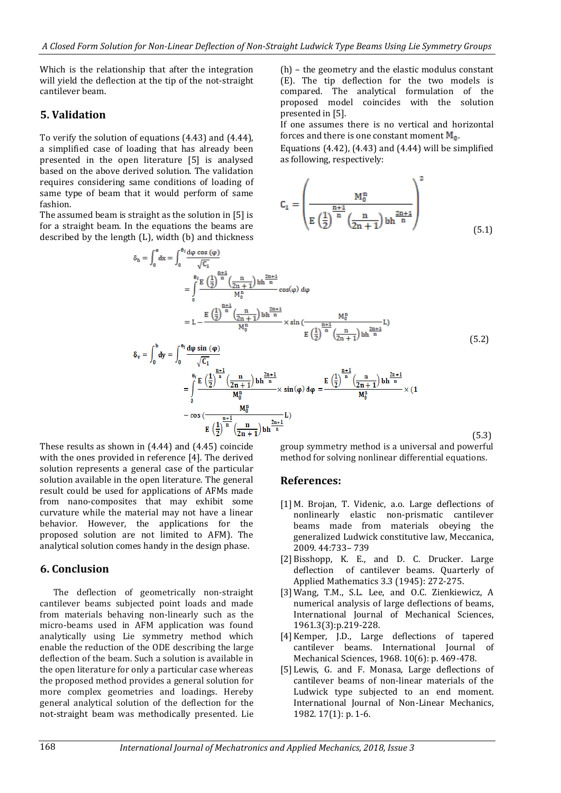Which is the relationship that after the integration will yield the deflection at the tip of the not-straight cantilever beam.

## **5. Validation**

To verify the solution of equations (4.43) and (4.44), a simplified case of loading that has already been presented in the open literature [5] is analysed based on the above derived solution. The validation requires considering same conditions of loading of same type of beam that it would perform of same fashion.

The assumed beam is straight as the solution in [5] is for a straight beam. In the equations the beams are described by the length (L), width (b) and thickness<br>  $\kappa = \int_{-\infty}^a e^{-\int_{-\infty}^a e^{-\cos{(\varphi)}}}$ 

(h) – the geometry and the elastic modulus constant (E). The tip deflection for the two models is compared. The analytical formulation of the proposed model coincides with the solution presented in [5].

If one assumes there is no vertical and horizontal forces and there is one constant moment  $M_0$ .

Equations  $(4.42)$ ,  $(4.43)$  and  $(4.44)$  will be simplified as following, respectively:

$$
C_1 = \left(\frac{M_0^n}{E\left(\frac{1}{2}\right)^{\frac{n+1}{n}} \left(\frac{n}{2n+1}\right) bh^{\frac{2n+1}{n}}}\right)^2
$$
\n(5.1)

$$
= \int_{0}^{\infty} dx = \int_{0}^{\infty} \frac{\sqrt{C_{1}}}{\sqrt{C_{1}}} = \int_{0}^{\frac{\pi}{2} \left(\frac{1}{2}\right)^{\frac{n+1}{n}} \left(\frac{n}{2n+1}\right) bh^{\frac{2n+1}{n}} \cos(\varphi) d\varphi} = L - \frac{E\left(\frac{1}{2}\right)^{\frac{n+1}{n}} \left(\frac{n}{2n+1}\right) bh^{\frac{2n+1}{n}}}{M_{0}^{n}} \times \sin\left(\frac{M_{0}^{n}}{\log(1 + \varphi)}\right) = \int_{0}^{\frac{\pi}{2}} d\varphi \sin(\varphi) \tag{5.2}
$$

$$
\delta_{v} = \int_{0}^{1} dy = \int_{0}^{\frac{\alpha_{\phi}}{\sqrt{C_{1}}}} \frac{d\phi \sin(\frac{\phi}{\sqrt{C_{1}}})}{\sqrt{C_{1}}} \\
= \int_{0}^{\frac{\beta_{f}}{\alpha_{f}}} \frac{E\left(\frac{1}{2}\right)^{\frac{n+1}{n}} \left(\frac{n}{2n+1}\right) b h^{\frac{2n+1}{n}}}{M_{0}^{n}} \times \sin(\phi) d\phi = \frac{E\left(\frac{1}{2}\right)^{\frac{n+1}{n}} \left(\frac{n}{2n+1}\right) b h^{\frac{2n+1}{n}}}{M_{0}^{n}} \times (1 - \cos(\frac{M_{0}^{n}}{2n+1}) b h^{\frac{2n+1}{n}}) \times (1 - \cos(\frac{M_{0}^{n}}{2n+1}) b h^{\frac{2n+1}{n}})
$$
\n
$$
(5.3)
$$

These results as shown in (4.44) and (4.45) coincide with the ones provided in reference [4]. The derived solution represents a general case of the particular solution available in the open literature. The general result could be used for applications of AFMs made from nano-composites that may exhibit some curvature while the material may not have a linear behavior. However, the applications for the proposed solution are not limited to AFM). The analytical solution comes handy in the design phase.

## **6. Conclusion**

The deflection of geometrically non-straight cantilever beams subjected point loads and made from materials behaving non-linearly such as the micro-beams used in AFM application was found analytically using Lie symmetry method which enable the reduction of the ODE describing the large deflection of the beam. Such a solution is available in the open literature for only a particular case whereas the proposed method provides a general solution for more complex geometries and loadings. Hereby general analytical solution of the deflection for the not-straight beam was methodically presented. Lie

group symmetry method is a universal and powerful method for solving nonlinear differential equations.

### **References:**

- [1] M. Brojan, T. Videnic, a.o. Large deflections of nonlinearly elastic non-prismatic cantilever beams made from materials obeying the generalized Ludwick constitutive law, Meccanica, 2009. 44:733– 739
- [2] Bisshopp, K. E., and D. C. Drucker. Large deflection of cantilever beams. Quarterly of Applied Mathematics 3.3 (1945): 272-275.
- [3] Wang, T.M., S.L. Lee, and O.C. Zienkiewicz, A numerical analysis of large deflections of beams, International Journal of Mechanical Sciences, 1961.3(3):p.219-228.
- [4] Kemper, J.D., Large deflections of tapered cantilever beams. International Journal of Mechanical Sciences, 1968. 10(6): p. 469-478.
- [5] Lewis, G. and F. Monasa, Large deflections of cantilever beams of non-linear materials of the Ludwick type subjected to an end moment. International Journal of Non-Linear Mechanics, 1982. 17(1): p. 1-6.